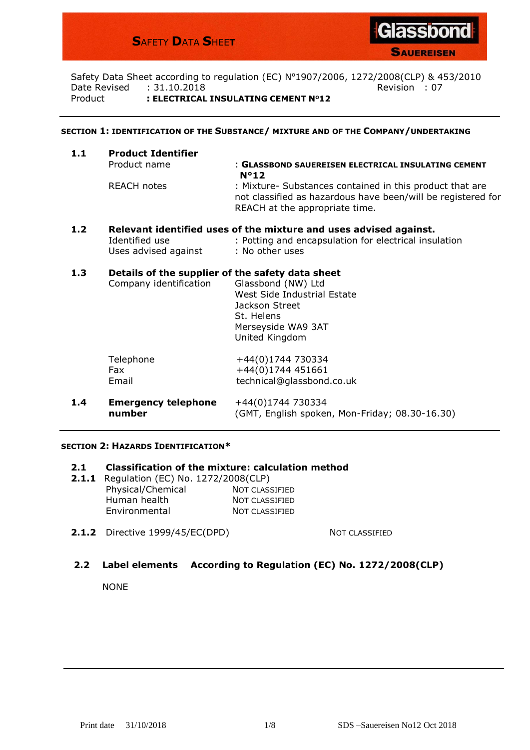# **S**AFETY **D**ATA **S**HEE**T**



**SAUEREISEN** 

Safety Data Sheet according to regulation (EC) Nº1907/2006, 1272/2008(CLP) & 453/2010 Date Revised : 31.10.2018 Revision : 07 Product **: ELECTRICAL INSULATING CEMENT NO12**

#### **SECTION 1: IDENTIFICATION OF THE SUBSTANCE/ MIXTURE AND OF THE COMPANY/UNDERTAKING**

| 1.1 | <b>Product Identifier</b> |                                                                                                                                                            |  |  |  |
|-----|---------------------------|------------------------------------------------------------------------------------------------------------------------------------------------------------|--|--|--|
|     | Product name              | : GLASSBOND SAUEREISEN ELECTRICAL INSULATING CEMENT                                                                                                        |  |  |  |
|     |                           | $N^{\circ}12$                                                                                                                                              |  |  |  |
|     | REACH notes               | : Mixture- Substances contained in this product that are<br>not classified as hazardous have been/will be registered for<br>REACH at the appropriate time. |  |  |  |
|     |                           |                                                                                                                                                            |  |  |  |

### **1.2 Relevant identified uses of the mixture and uses advised against.** Identified use : Potting and encapsulation for electrical insulation Uses advised against : No other uses

### **1.3 Details of the supplier of the safety data sheet**

| Company identification | Glassbond (NW) Ltd<br>West Side Industrial Estate<br>Jackson Street<br>St. Helens<br>Merseyside WA9 3AT<br>United Kingdom |
|------------------------|---------------------------------------------------------------------------------------------------------------------------|
| Telephone              | +44(0)1744 730334                                                                                                         |
| Fax                    | +44(0)1744 451661                                                                                                         |
| Email                  | technical@glassbond.co.uk                                                                                                 |

**1.4 Emergency telephone** +44(0)1744 730334 **number** (GMT, English spoken, Mon-Friday; 08.30-16.30)

### **SECTION 2: HAZARDS IDENTIFICATION\***

#### **2.1 Classification of the mixture: calculation method**

- **2.1.1** Regulation (EC) No. 1272/2008(CLP) Physical/Chemical NOT CLASSIFIED Human health NOT CLASSIFIED Environmental NOT CLASSIFIED
- **2.1.2** Directive 1999/45/EC(DPD) NOT CLASSIFIED

### **2.2 Label elements According to Regulation (EC) No. 1272/2008(CLP)**

NONE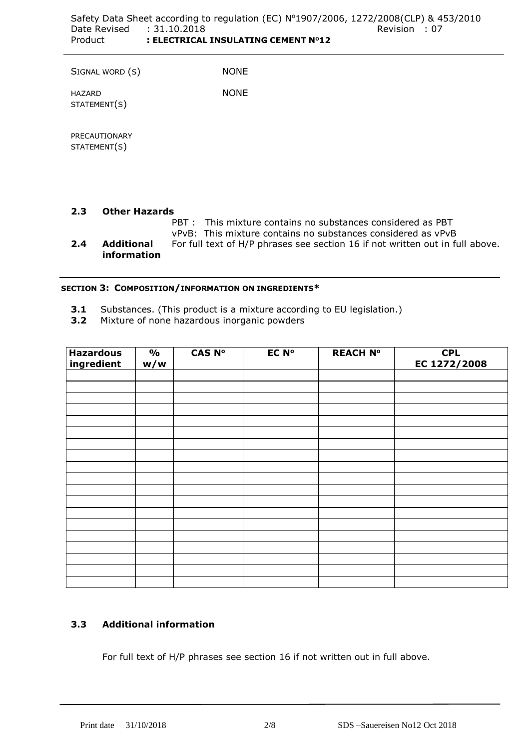SIGNAL WORD (S) NONE

HAZARD STATEMENT(S)

PRECAUTIONARY STATEMENT(S)

# **2.3 Other Hazards**

PBT : This mixture contains no substances considered as PBT

vPvB: This mixture contains no substances considered as vPvB

**2.4 Additional** For full text of H/P phrases see section 16 if not written out in full above. **information**

# **SECTION 3: COMPOSITION/INFORMATION ON INGREDIENTS\***

**3.1** Substances. (This product is a mixture according to EU legislation.)

NONE

**3.2** Mixture of none hazardous inorganic powders

| <b>Hazardous</b><br>ingredient | $\frac{1}{2}$<br>w/w | <b>CAS Nº</b> | <b>EC Nº</b> | <b>REACH Nº</b> | <b>CPL</b><br>EC 1272/2008 |
|--------------------------------|----------------------|---------------|--------------|-----------------|----------------------------|
|                                |                      |               |              |                 |                            |
|                                |                      |               |              |                 |                            |
|                                |                      |               |              |                 |                            |
|                                |                      |               |              |                 |                            |
|                                |                      |               |              |                 |                            |
|                                |                      |               |              |                 |                            |
|                                |                      |               |              |                 |                            |
|                                |                      |               |              |                 |                            |
|                                |                      |               |              |                 |                            |
|                                |                      |               |              |                 |                            |
|                                |                      |               |              |                 |                            |
|                                |                      |               |              |                 |                            |
|                                |                      |               |              |                 |                            |
|                                |                      |               |              |                 |                            |
|                                |                      |               |              |                 |                            |

# **3.3 Additional information**

For full text of H/P phrases see section 16 if not written out in full above.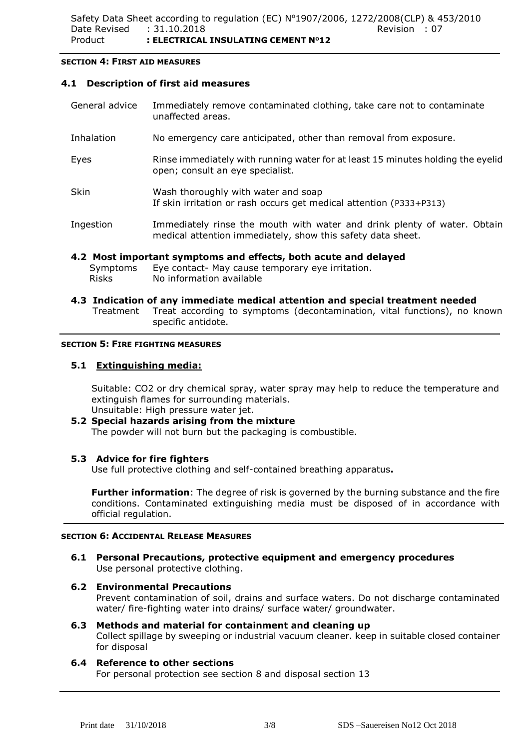### **SECTION 4: FIRST AID MEASURES**

# **4.1 Description of first aid measures**

General advice Immediately remove contaminated clothing, take care not to contaminate unaffected areas. Inhalation No emergency care anticipated, other than removal from exposure. Eyes Rinse immediately with running water for at least 15 minutes holding the eyelid open; consult an eye specialist. Skin Wash thoroughly with water and soap If skin irritation or rash occurs get medical attention (P333+P313) Ingestion Immediately rinse the mouth with water and drink plenty of water. Obtain medical attention immediately, show this safety data sheet.

# **4.2 Most important symptoms and effects, both acute and delayed**

- Symptoms Eye contact- May cause temporary eye irritation. Risks No information available
- **4.3 Indication of any immediate medical attention and special treatment needed** Treatment Treat according to symptoms (decontamination, vital functions), no known specific antidote.

### **SECTION 5: FIRE FIGHTING MEASURES**

# **5.1 Extinguishing media:**

Suitable: CO2 or dry chemical spray, water spray may help to reduce the temperature and extinguish flames for surrounding materials. Unsuitable: High pressure water jet.

# **5.2 Special hazards arising from the mixture** The powder will not burn but the packaging is combustible.

## **5.3 Advice for fire fighters**

Use full protective clothing and self-contained breathing apparatus**.**

**Further information**: The degree of risk is governed by the burning substance and the fire conditions. Contaminated extinguishing media must be disposed of in accordance with official regulation.

## **SECTION 6: ACCIDENTAL RELEASE MEASURES**

## **6.1 Personal Precautions, protective equipment and emergency procedures** Use personal protective clothing.

## **6.2 Environmental Precautions**

Prevent contamination of soil, drains and surface waters. Do not discharge contaminated water/ fire-fighting water into drains/ surface water/ groundwater.

### **6.3 Methods and material for containment and cleaning up**

Collect spillage by sweeping or industrial vacuum cleaner. keep in suitable closed container for disposal

# **6.4 Reference to other sections**

For personal protection see section 8 and disposal section 13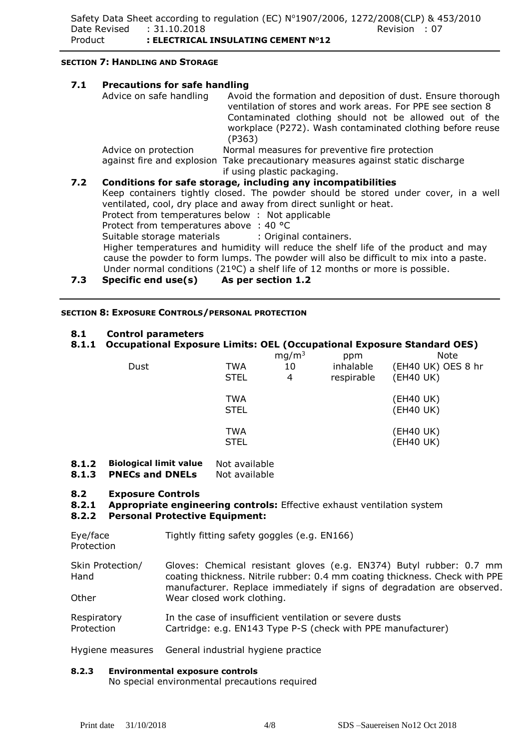### **SECTION 7: HANDLING AND STORAGE**

| 7.1 | <b>Precautions for safe handling</b>                                                                                                                     |                                                                                                                                                                                                                                                             |  |  |  |
|-----|----------------------------------------------------------------------------------------------------------------------------------------------------------|-------------------------------------------------------------------------------------------------------------------------------------------------------------------------------------------------------------------------------------------------------------|--|--|--|
|     | Advice on safe handling                                                                                                                                  | Avoid the formation and deposition of dust. Ensure thorough<br>ventilation of stores and work areas. For PPE see section 8<br>Contaminated clothing should not be allowed out of the<br>workplace (P272). Wash contaminated clothing before reuse<br>(P363) |  |  |  |
|     | Advice on protection                                                                                                                                     | Normal measures for preventive fire protection                                                                                                                                                                                                              |  |  |  |
|     |                                                                                                                                                          | against fire and explosion Take precautionary measures against static discharge<br>if using plastic packaging.                                                                                                                                              |  |  |  |
| 7.2 | Conditions for safe storage, including any incompatibilities                                                                                             |                                                                                                                                                                                                                                                             |  |  |  |
|     | Keep containers tightly closed. The powder should be stored under cover, in a well<br>ventilated, cool, dry place and away from direct sunlight or heat. |                                                                                                                                                                                                                                                             |  |  |  |
|     | Protect from temperatures below: Not applicable                                                                                                          |                                                                                                                                                                                                                                                             |  |  |  |
|     | Protect from temperatures above : 40 °C                                                                                                                  |                                                                                                                                                                                                                                                             |  |  |  |
|     | Suitable storage materials : Original containers.                                                                                                        |                                                                                                                                                                                                                                                             |  |  |  |
|     | Higher temperatures and humidity will reduce the shelf life of the product and may                                                                       |                                                                                                                                                                                                                                                             |  |  |  |
|     |                                                                                                                                                          | cause the powder to form lumps. The powder will also be difficult to mix into a paste.<br>Under normal conditions ( $21^{\circ}$ C) a shelf life of 12 months or more is possible.                                                                          |  |  |  |

**7.3 Specific end use(s) As per section 1.2**

### **SECTION 8: EXPOSURE CONTROLS/PERSONAL PROTECTION**

### **8.1 Control parameters**

# **8.1.1 Occupational Exposure Limits: OEL (Occupational Exposure Standard OES)**

| Dust | <b>TWA</b><br><b>STEL</b> | mg/m <sup>3</sup><br>10<br>4 | ppm<br>inhalable<br>respirable | <b>Note</b><br>(EH40 UK) OES 8 hr<br>(EH40 UK) |
|------|---------------------------|------------------------------|--------------------------------|------------------------------------------------|
|      | <b>TWA</b><br><b>STEL</b> |                              |                                | (EH40 UK)<br>(EH40 UK)                         |
|      | <b>TWA</b><br><b>STEL</b> |                              |                                | (EH40 UK)<br>(EH40 UK)                         |

# **8.1.2 Biological limit value** Not available

**8.1.3 PNECs and DNELs** Not available

#### **8.2 Exposure Controls**

#### **8.2.1 Appropriate engineering controls:** Effective exhaust ventilation system

## **8.2.2 Personal Protective Equipment:**

| Eye/face<br>Protection    | Tightly fitting safety goggles (e.g. EN166)                                                                                                                                                                                   |
|---------------------------|-------------------------------------------------------------------------------------------------------------------------------------------------------------------------------------------------------------------------------|
| Skin Protection/<br>Hand  | Gloves: Chemical resistant gloves (e.g. EN374) Butyl rubber: 0.7 mm<br>coating thickness. Nitrile rubber: 0.4 mm coating thickness. Check with PPE<br>manufacturer. Replace immediately if signs of degradation are observed. |
| Other                     | Wear closed work clothing.                                                                                                                                                                                                    |
| Respiratory<br>Protection | In the case of insufficient ventilation or severe dusts<br>Cartridge: e.g. EN143 Type P-S (check with PPE manufacturer)                                                                                                       |

Hygiene measures General industrial hygiene practice

## **8.2.3 Environmental exposure controls**

No special environmental precautions required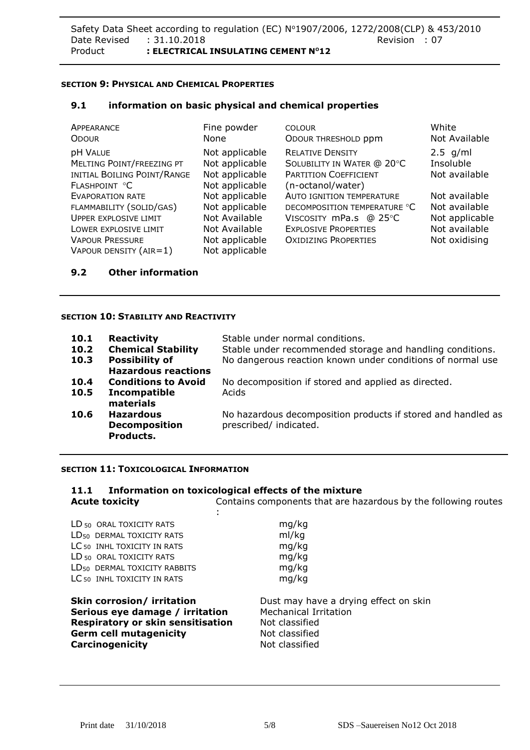# **SECTION 9: PHYSICAL AND CHEMICAL PROPERTIES**

### **9.1 information on basic physical and chemical properties**

| APPEARANCE                                                                                   | Fine powder                                                          | <b>COLOUR</b>                                                                                       | White                                    |
|----------------------------------------------------------------------------------------------|----------------------------------------------------------------------|-----------------------------------------------------------------------------------------------------|------------------------------------------|
| <b>ODOUR</b>                                                                                 | None                                                                 | ODOUR THRESHOLD ppm                                                                                 | Not Available                            |
| <b>pH VALUE</b><br>MELTING POINT/FREEZING PT<br>INITIAL BOILING POINT/RANGE<br>FLASHPOINT °C | Not applicable<br>Not applicable<br>Not applicable<br>Not applicable | <b>RELATIVE DENSITY</b><br>SOLUBILITY IN WATER @ 20°C<br>PARTITION COEFFICIENT<br>(n-octanol/water) | $2.5$ g/ml<br>Insoluble<br>Not available |
| <b>EVAPORATION RATE</b>                                                                      | Not applicable                                                       | <b>AUTO IGNITION TEMPERATURE</b>                                                                    | Not available                            |
| FLAMMABILITY (SOLID/GAS)                                                                     | Not applicable                                                       | DECOMPOSITION TEMPERATURE °C                                                                        | Not available                            |
| <b>UPPER EXPLOSIVE LIMIT</b>                                                                 | Not Available                                                        | VISCOSITY mPa.s @ 25°C                                                                              | Not applicable                           |
| LOWER EXPLOSIVE LIMIT<br><b>VAPOUR PRESSURE</b><br>VAPOUR DENSITY $(AIR=1)$                  | Not Available<br>Not applicable<br>Not applicable                    | <b>EXPLOSIVE PROPERTIES</b><br><b>OXIDIZING PROPERTIES</b>                                          | Not available<br>Not oxidising           |

## **9.2 Other information**

### **SECTION 10: STABILITY AND REACTIVITY**

| 10.1<br>10.2<br>10.3 | <b>Reactivity</b><br><b>Chemical Stability</b><br><b>Possibility of</b><br><b>Hazardous reactions</b> | Stable under normal conditions.<br>Stable under recommended storage and handling conditions.<br>No dangerous reaction known under conditions of normal use |
|----------------------|-------------------------------------------------------------------------------------------------------|------------------------------------------------------------------------------------------------------------------------------------------------------------|
| 10.4<br>10.5         | <b>Conditions to Avoid</b><br>Incompatible<br>materials                                               | No decomposition if stored and applied as directed.<br>Acids                                                                                               |
| 10.6                 | <b>Hazardous</b><br><b>Decomposition</b><br>Products.                                                 | No hazardous decomposition products if stored and handled as<br>prescribed/ indicated.                                                                     |

#### **SECTION 11: TOXICOLOGICAL INFORMATION**

**Carcinogenicity Carcinogenicity Not classified** 

## **11.1 Information on toxicological effects of the mixture Acute toxicity** Contains components that are hazardous by the following routes

| LD <sub>50</sub> ORAL TOXICITY RATS      | mg/kg                                 |  |
|------------------------------------------|---------------------------------------|--|
| LD <sub>50</sub> DERMAL TOXICITY RATS    | ml/kg                                 |  |
| LC <sub>50</sub> INHL TOXICITY IN RATS   | mg/kg                                 |  |
| LD <sub>50</sub> ORAL TOXICITY RATS      | mg/kg                                 |  |
| LD <sub>50</sub> DERMAL TOXICITY RABBITS | mg/kg                                 |  |
| LC <sub>50</sub> INHL TOXICITY IN RATS   | mg/kg                                 |  |
| Skin corrosion/ irritation               | Dust may have a drying effect on skin |  |
| Serious eye damage / irritation          | <b>Mechanical Irritation</b>          |  |
| Respiratory or skin sensitisation        | Not classified                        |  |
| <b>Germ cell mutagenicity</b>            | Not classified                        |  |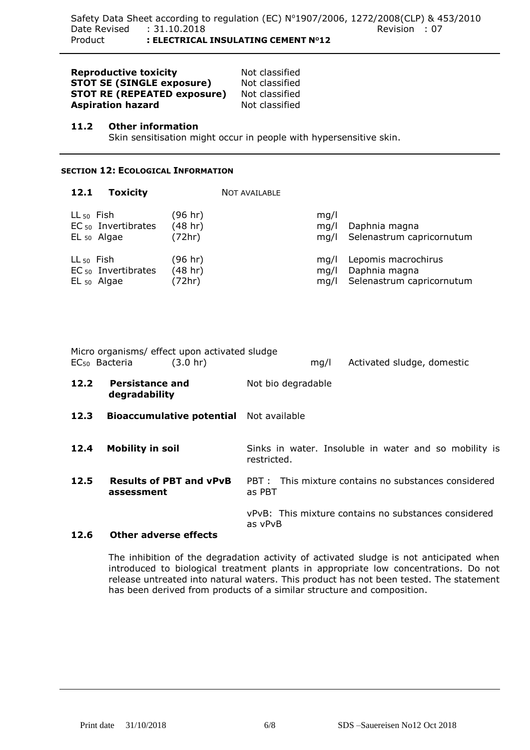| <b>Reproductive toxicity</b>       | No |
|------------------------------------|----|
| <b>STOT SE (SINGLE exposure)</b>   | No |
| <b>STOT RE (REPEATED exposure)</b> | No |
| <b>Aspiration hazard</b>           | No |

**Reproduct** classified **St** classified **St** classified **A** classified

### **11.2 Other information**

Skin sensitisation might occur in people with hypersensitive skin.

# **SECTION 12: ECOLOGICAL INFORMATION**

| 12.1                  | <b>Toxicity</b>                            |                              | <b>NOT AVAILABLE</b> |                                                                   |
|-----------------------|--------------------------------------------|------------------------------|----------------------|-------------------------------------------------------------------|
| $LL_{50}$ Fish        | $EC_{50}$ Invertibrates<br>$EL_{50}$ Algae | (96 hr)<br>(48 hr)<br>(72hr) | mq/l<br>mq/l<br>ma/l | Daphnia magna<br>Selenastrum capricornutum                        |
| LL <sub>50</sub> Fish | $EC_{50}$ Invertibrates<br>$EL_{50}$ Algae | (96 hr)<br>(48 hr)<br>(72hr) | mq/l<br>mq/l<br>mq/l | Lepomis macrochirus<br>Daphnia magna<br>Selenastrum capricornutum |

|      | Micro organisms/ effect upon activated sludge<br>EC <sub>50</sub> Bacteria | (3.0 h r)                                      |             |                    | mq/l | Activated sludge, domestic                            |
|------|----------------------------------------------------------------------------|------------------------------------------------|-------------|--------------------|------|-------------------------------------------------------|
| 12.2 | <b>Persistance and</b><br>degradability                                    |                                                |             | Not bio degradable |      |                                                       |
| 12.3 |                                                                            | <b>Bioaccumulative potential</b> Not available |             |                    |      |                                                       |
| 12.4 | <b>Mobility in soil</b>                                                    |                                                | restricted. |                    |      | Sinks in water. Insoluble in water and so mobility is |
| 12.5 | assessment                                                                 | <b>Results of PBT and vPvB</b>                 | as PBT      |                    |      | PBT: This mixture contains no substances considered   |
| 12.6 | <b>Other adverse effects</b>                                               |                                                | as vPvB     |                    |      | vPvB: This mixture contains no substances considered  |

# The inhibition of the degradation activity of activated sludge is not anticipated when introduced to biological treatment plants in appropriate low concentrations. Do not release untreated into natural waters. This product has not been tested. The statement has been derived from products of a similar structure and composition.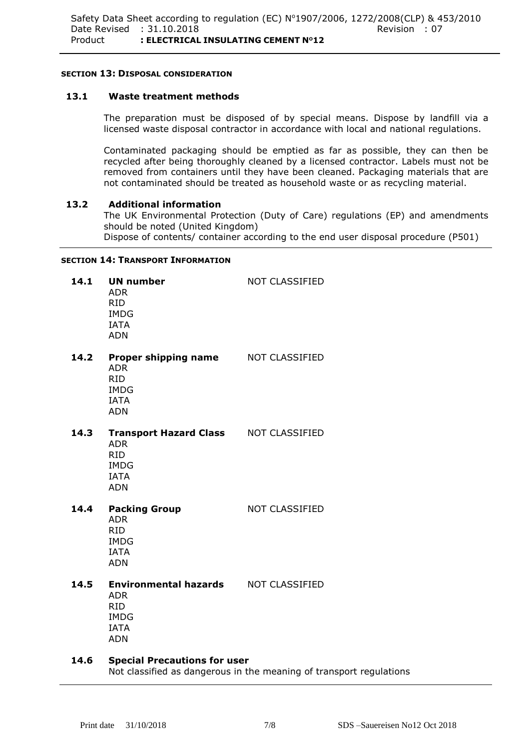### **SECTION 13: DISPOSAL CONSIDERATION**

# **13.1 Waste treatment methods**

The preparation must be disposed of by special means. Dispose by landfill via a licensed waste disposal contractor in accordance with local and national regulations.

Contaminated packaging should be emptied as far as possible, they can then be recycled after being thoroughly cleaned by a licensed contractor. Labels must not be removed from containers until they have been cleaned. Packaging materials that are not contaminated should be treated as household waste or as recycling material.

## **13.2 Additional information**

The UK Environmental Protection (Duty of Care) regulations (EP) and amendments should be noted (United Kingdom) Dispose of contents/ container according to the end user disposal procedure (P501)

### **SECTION 14: TRANSPORT INFORMATION**

| 14.1 | <b>UN number</b><br><b>ADR</b><br><b>RID</b><br><b>IMDG</b><br><b>IATA</b><br><b>ADN</b>                            | NOT CLASSIFIED        |
|------|---------------------------------------------------------------------------------------------------------------------|-----------------------|
| 14.2 | <b>Proper shipping name MOT CLASSIFIED</b><br><b>ADR</b><br><b>RID</b><br><b>IMDG</b><br><b>IATA</b><br><b>ADN</b>  |                       |
| 14.3 | Transport Hazard Class NOT CLASSIFIED<br><b>ADR</b><br><b>RID</b><br><b>IMDG</b><br><b>IATA</b><br><b>ADN</b>       |                       |
| 14.4 | <b>Packing Group</b><br><b>ADR</b><br><b>RID</b><br><b>IMDG</b><br><b>IATA</b><br><b>ADN</b>                        | <b>NOT CLASSIFIED</b> |
| 14.5 | <b>Environmental hazards MOT CLASSIFIED</b><br><b>ADR</b><br><b>RID</b><br><b>IMDG</b><br><b>IATA</b><br><b>ADN</b> |                       |
|      | $\sim$ $\sim$ $\sim$ $\sim$ $\sim$ $\sim$ $\sim$<br>$\sim$ $\sim$ $\sim$                                            |                       |

**14.6 Special Precautions for user** Not classified as dangerous in the meaning of transport regulations